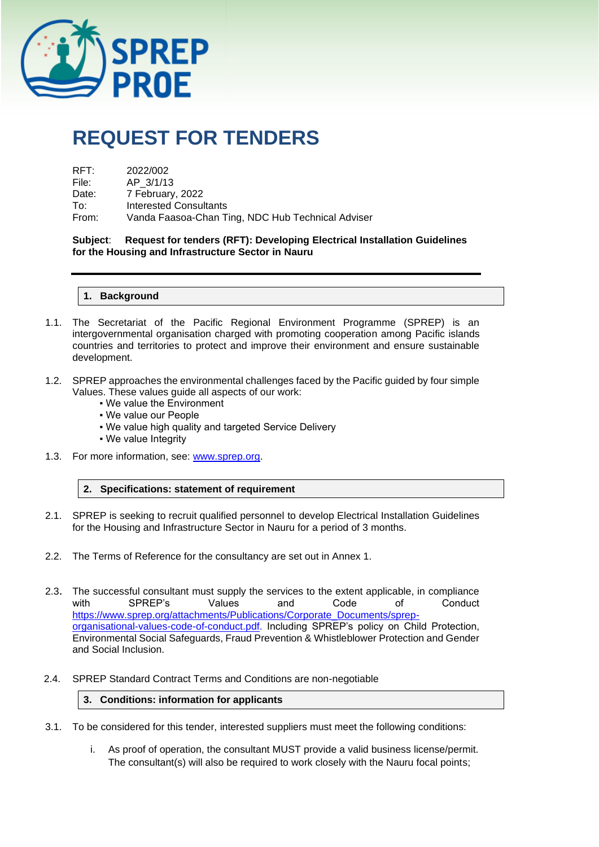

# **REQUEST FOR TENDERS**

| RFT:  | 2022/002                                          |
|-------|---------------------------------------------------|
| File: | AP 3/1/13                                         |
| Date: | 7 February, 2022                                  |
| To∶   | Interested Consultants                            |
| From: | Vanda Faasoa-Chan Ting, NDC Hub Technical Adviser |

**Subject**: **Request for tenders (RFT): Developing Electrical Installation Guidelines for the Housing and Infrastructure Sector in Nauru**

**1. Background**

- 1.1. The Secretariat of the Pacific Regional Environment Programme (SPREP) is an intergovernmental organisation charged with promoting cooperation among Pacific islands countries and territories to protect and improve their environment and ensure sustainable development.
- 1.2. SPREP approaches the environmental challenges faced by the Pacific guided by four simple Values. These values guide all aspects of our work:
	- We value the Environment
	- We value our People
	- . We value high quality and targeted Service Delivery
	- We value Integrity
- 1.3. For more information, see: [www.sprep.org.](http://www.sprep.org/)
	- **2. Specifications: statement of requirement**
- 2.1. SPREP is seeking to recruit qualified personnel to develop Electrical Installation Guidelines for the Housing and Infrastructure Sector in Nauru for a period of 3 months.
- 2.2. The Terms of Reference for the consultancy are set out in Annex 1.
- 2.3. The successful consultant must supply the services to the extent applicable, in compliance with SPREP's Values and Code of Conduct [https://www.sprep.org/attachments/Publications/Corporate\\_Documents/sprep](https://www.sprep.org/attachments/Publications/Corporate_Documents/sprep-organisational-values-code-of-conduct.pdf)[organisational-values-code-of-conduct.pdf.](https://www.sprep.org/attachments/Publications/Corporate_Documents/sprep-organisational-values-code-of-conduct.pdf) Including SPREP's policy on Child Protection, Environmental Social Safeguards, Fraud Prevention & Whistleblower Protection and Gender and Social Inclusion.
- 2.4. SPREP Standard Contract Terms and Conditions are non-negotiable

#### **3. Conditions: information for applicants**

- 3.1. To be considered for this tender, interested suppliers must meet the following conditions:
	- i. As proof of operation, the consultant MUST provide a valid business license/permit. The consultant(s) will also be required to work closely with the Nauru focal points;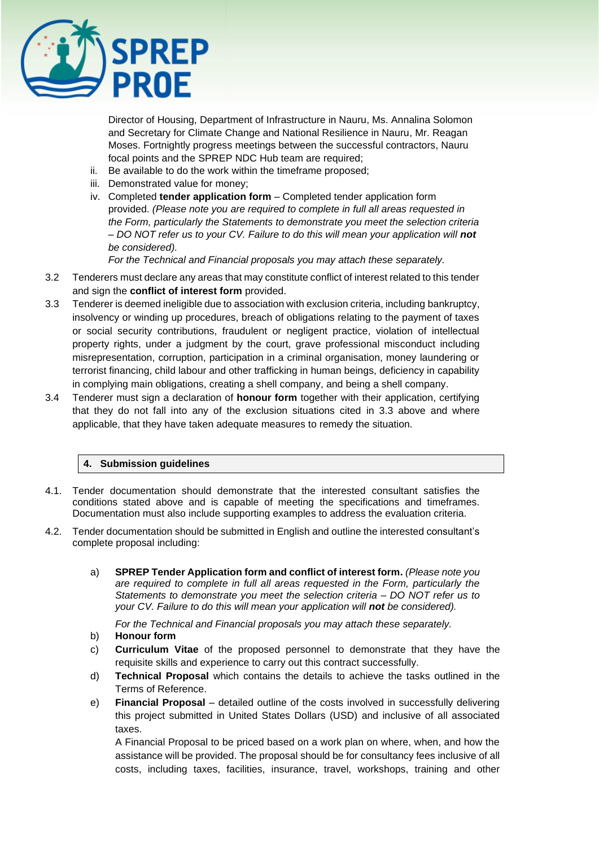

Director of Housing, Department of Infrastructure in Nauru, Ms. Annalina Solomon and Secretary for Climate Change and National Resilience in Nauru, Mr. Reagan Moses. Fortnightly progress meetings between the successful contractors, Nauru focal points and the SPREP NDC Hub team are required;

- ii. Be available to do the work within the timeframe proposed;
- iii. Demonstrated value for money;
- iv. Completed **tender application form**  Completed tender application form provided. *(Please note you are required to complete in full all areas requested in the Form, particularly the Statements to demonstrate you meet the selection criteria – DO NOT refer us to your CV. Failure to do this will mean your application will not be considered).*

*For the Technical and Financial proposals you may attach these separately.* 

- 3.2 Tenderers must declare any areas that may constitute conflict of interest related to this tender and sign the **conflict of interest form** provided.
- 3.3 Tenderer is deemed ineligible due to association with exclusion criteria, including bankruptcy, insolvency or winding up procedures, breach of obligations relating to the payment of taxes or social security contributions, fraudulent or negligent practice, violation of intellectual property rights, under a judgment by the court, grave professional misconduct including misrepresentation, corruption, participation in a criminal organisation, money laundering or terrorist financing, child labour and other trafficking in human beings, deficiency in capability in complying main obligations, creating a shell company, and being a shell company.
- 3.4 Tenderer must sign a declaration of **honour form** together with their application, certifying that they do not fall into any of the exclusion situations cited in 3.3 above and where applicable, that they have taken adequate measures to remedy the situation.

#### **4. Submission guidelines**

- 4.1. Tender documentation should demonstrate that the interested consultant satisfies the conditions stated above and is capable of meeting the specifications and timeframes. Documentation must also include supporting examples to address the evaluation criteria.
- 4.2. Tender documentation should be submitted in English and outline the interested consultant's complete proposal including:
	- a) **SPREP Tender Application form and conflict of interest form.** *(Please note you are required to complete in full all areas requested in the Form, particularly the Statements to demonstrate you meet the selection criteria – DO NOT refer us to your CV. Failure to do this will mean your application will not be considered).*

*For the Technical and Financial proposals you may attach these separately.* 

- b) **Honour form**
- c) **Curriculum Vitae** of the proposed personnel to demonstrate that they have the requisite skills and experience to carry out this contract successfully.
- d) **Technical Proposal** which contains the details to achieve the tasks outlined in the Terms of Reference.
- e) **Financial Proposal** detailed outline of the costs involved in successfully delivering this project submitted in United States Dollars (USD) and inclusive of all associated taxes.

A Financial Proposal to be priced based on a work plan on where, when, and how the assistance will be provided. The proposal should be for consultancy fees inclusive of all costs, including taxes, facilities, insurance, travel, workshops, training and other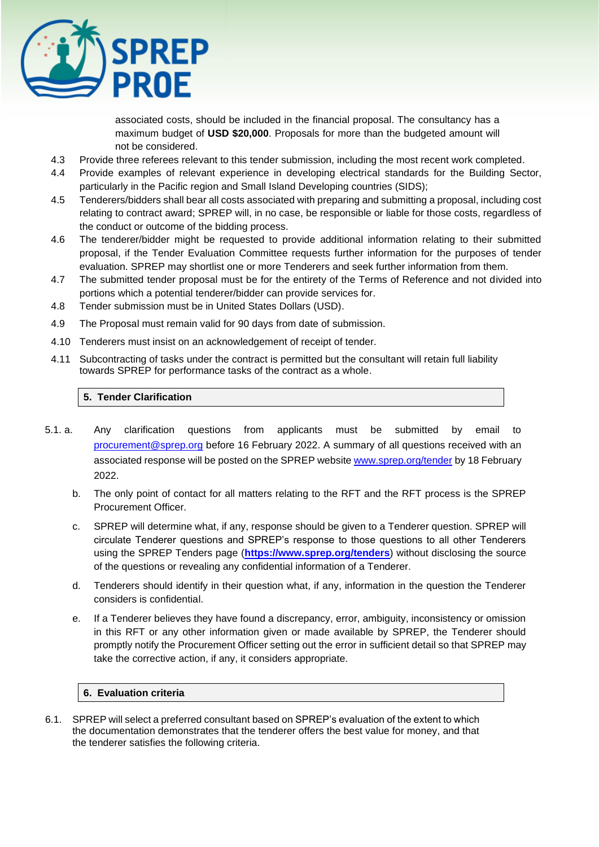

associated costs, should be included in the financial proposal. The consultancy has a maximum budget of **USD \$20,000**. Proposals for more than the budgeted amount will not be considered.

- 4.3 Provide three referees relevant to this tender submission, including the most recent work completed.
- 4.4 Provide examples of relevant experience in developing electrical standards for the Building Sector, particularly in the Pacific region and Small Island Developing countries (SIDS);
- 4.5 Tenderers/bidders shall bear all costs associated with preparing and submitting a proposal, including cost relating to contract award; SPREP will, in no case, be responsible or liable for those costs, regardless of the conduct or outcome of the bidding process.
- 4.6 The tenderer/bidder might be requested to provide additional information relating to their submitted proposal, if the Tender Evaluation Committee requests further information for the purposes of tender evaluation. SPREP may shortlist one or more Tenderers and seek further information from them.
- 4.7 The submitted tender proposal must be for the entirety of the Terms of Reference and not divided into portions which a potential tenderer/bidder can provide services for.
- 4.8 Tender submission must be in United States Dollars (USD).
- 4.9 The Proposal must remain valid for 90 days from date of submission.
- 4.10 Tenderers must insist on an acknowledgement of receipt of tender.
- 4.11 Subcontracting of tasks under the contract is permitted but the consultant will retain full liability towards SPREP for performance tasks of the contract as a whole.

#### **5. Tender Clarification**

- 5.1. a. Any clarification questions from applicants must be submitted by email to [procurement@sprep.org](mailto:procurement@sprep.org) before 16 February 2022. A summary of all questions received with an associated response will be posted on the SPREP website [www.sprep.org/tender](http://www.sprep.org/tender) by 18 February [2022.](http://www.sprep.org/tender)
	- b. The only point of contact for all matters relating to the RFT and the RFT process is the SPREP Procurement Officer.
	- c. SPREP will determine what, if any, response should be given to a Tenderer question. SPREP will circulate Tenderer questions and SPREP's response to those questions to all other Tenderers using the SPREP Tenders page (**<https://www.sprep.org/tenders>**) without disclosing the source of the questions or revealing any confidential information of a Tenderer.
	- d. Tenderers should identify in their question what, if any, information in the question the Tenderer considers is confidential.
	- e. If a Tenderer believes they have found a discrepancy, error, ambiguity, inconsistency or omission in this RFT or any other information given or made available by SPREP, the Tenderer should promptly notify the Procurement Officer setting out the error in sufficient detail so that SPREP may take the corrective action, if any, it considers appropriate.

#### **6. Evaluation criteria**

6.1. SPREP will select a preferred consultant based on SPREP's evaluation of the extent to which the documentation demonstrates that the tenderer offers the best value for money, and that the tenderer satisfies the following criteria.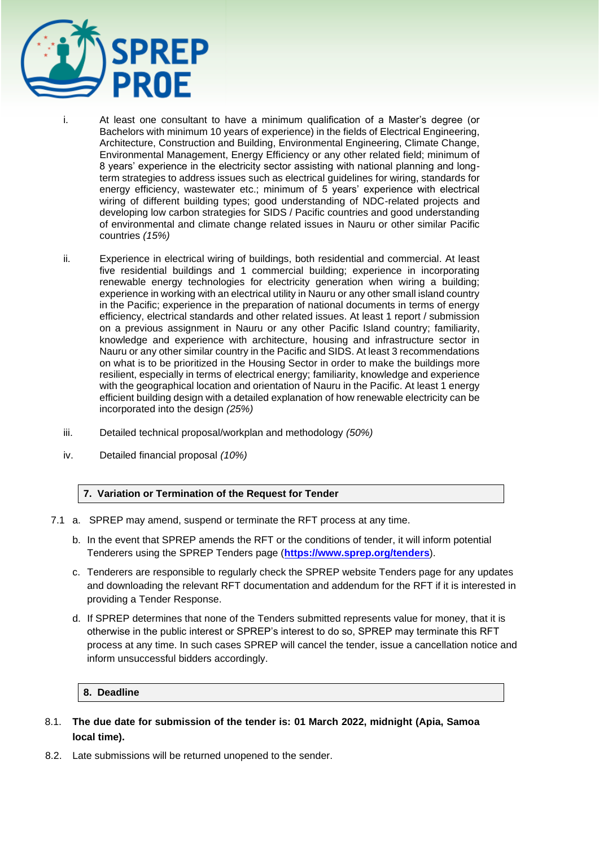

- i. At least one consultant to have a minimum qualification of a Master's degree (or Bachelors with minimum 10 years of experience) in the fields of Electrical Engineering, Architecture, Construction and Building, Environmental Engineering, Climate Change, Environmental Management, Energy Efficiency or any other related field; minimum of 8 years' experience in the electricity sector assisting with national planning and longterm strategies to address issues such as electrical guidelines for wiring, standards for energy efficiency, wastewater etc.; minimum of 5 years' experience with electrical wiring of different building types; good understanding of NDC-related projects and developing low carbon strategies for SIDS / Pacific countries and good understanding of environmental and climate change related issues in Nauru or other similar Pacific countries *(15%)*
- ii. Experience in electrical wiring of buildings, both residential and commercial. At least five residential buildings and 1 commercial building; experience in incorporating renewable energy technologies for electricity generation when wiring a building; experience in working with an electrical utility in Nauru or any other small island country in the Pacific; experience in the preparation of national documents in terms of energy efficiency, electrical standards and other related issues. At least 1 report / submission on a previous assignment in Nauru or any other Pacific Island country; familiarity, knowledge and experience with architecture, housing and infrastructure sector in Nauru or any other similar country in the Pacific and SIDS. At least 3 recommendations on what is to be prioritized in the Housing Sector in order to make the buildings more resilient, especially in terms of electrical energy; familiarity, knowledge and experience with the geographical location and orientation of Nauru in the Pacific. At least 1 energy efficient building design with a detailed explanation of how renewable electricity can be incorporated into the design *(25%)*
- iii. Detailed technical proposal/workplan and methodology *(50%)*
- iv. Detailed financial proposal *(10%)*

#### **7. Variation or Termination of the Request for Tender**

- 7.1 a. SPREP may amend, suspend or terminate the RFT process at any time.
	- b. In the event that SPREP amends the RFT or the conditions of tender, it will inform potential Tenderers using the SPREP Tenders page (**<https://www.sprep.org/tenders>**).
	- c. Tenderers are responsible to regularly check the SPREP website Tenders page for any updates and downloading the relevant RFT documentation and addendum for the RFT if it is interested in providing a Tender Response.
	- d. If SPREP determines that none of the Tenders submitted represents value for money, that it is otherwise in the public interest or SPREP's interest to do so, SPREP may terminate this RFT process at any time. In such cases SPREP will cancel the tender, issue a cancellation notice and inform unsuccessful bidders accordingly.

#### **8. Deadline**

- 8.1. **The due date for submission of the tender is: 01 March 2022, midnight (Apia, Samoa local time).**
- 8.2. Late submissions will be returned unopened to the sender.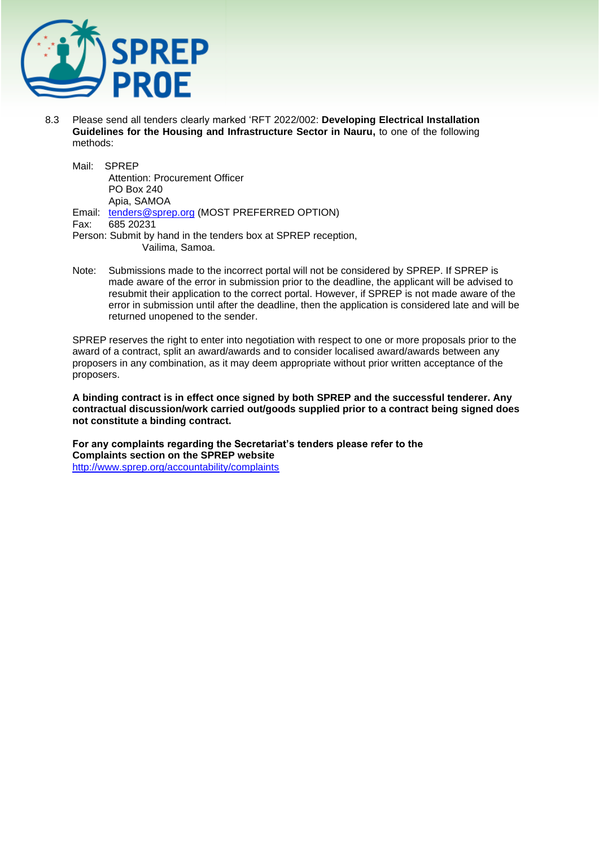

8.3 Please send all tenders clearly marked 'RFT 2022/002: **Developing Electrical Installation Guidelines for the Housing and Infrastructure Sector in Nauru,** to one of the following methods:

Mail: SPREP Attention: Procurement Officer PO Box 240 Apia, SAMOA Email: [tenders@sprep.org](mailto:tenders@sprep.org) (MOST PREFERRED OPTION) Fax: 685 20231

- Person: Submit by hand in the tenders box at SPREP reception, Vailima, Samoa.
- Note: Submissions made to the incorrect portal will not be considered by SPREP. If SPREP is made aware of the error in submission prior to the deadline, the applicant will be advised to resubmit their application to the correct portal. However, if SPREP is not made aware of the error in submission until after the deadline, then the application is considered late and will be returned unopened to the sender.

SPREP reserves the right to enter into negotiation with respect to one or more proposals prior to the award of a contract, split an award/awards and to consider localised award/awards between any proposers in any combination, as it may deem appropriate without prior written acceptance of the proposers.

**A binding contract is in effect once signed by both SPREP and the successful tenderer. Any contractual discussion/work carried out/goods supplied prior to a contract being signed does not constitute a binding contract.** 

**For any complaints regarding the Secretariat's tenders please refer to the Complaints section on the SPREP website**  <http://www.sprep.org/accountability/complaints>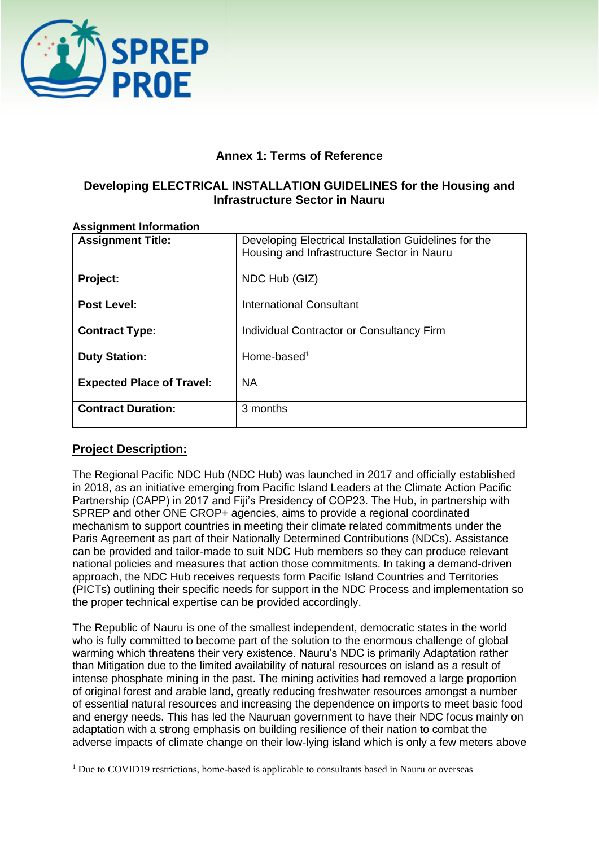

# **Annex 1: Terms of Reference**

# **Developing ELECTRICAL INSTALLATION GUIDELINES for the Housing and Infrastructure Sector in Nauru**

| ASSIGNMENT INFORMATION           |                                                                                                     |  |  |  |
|----------------------------------|-----------------------------------------------------------------------------------------------------|--|--|--|
| <b>Assignment Title:</b>         | Developing Electrical Installation Guidelines for the<br>Housing and Infrastructure Sector in Nauru |  |  |  |
| Project:                         | NDC Hub (GIZ)                                                                                       |  |  |  |
| <b>Post Level:</b>               | <b>International Consultant</b>                                                                     |  |  |  |
| <b>Contract Type:</b>            | Individual Contractor or Consultancy Firm                                                           |  |  |  |
| <b>Duty Station:</b>             | Home-based <sup>1</sup>                                                                             |  |  |  |
| <b>Expected Place of Travel:</b> | <b>NA</b>                                                                                           |  |  |  |
| <b>Contract Duration:</b>        | 3 months                                                                                            |  |  |  |

# **Assignment Information**

# **Project Description:**

The Regional Pacific NDC Hub (NDC Hub) was launched in 2017 and officially established in 2018, as an initiative emerging from Pacific Island Leaders at the Climate Action Pacific Partnership (CAPP) in 2017 and Fiji's Presidency of COP23. The Hub, in partnership with SPREP and other ONE CROP+ agencies, aims to provide a regional coordinated mechanism to support countries in meeting their climate related commitments under the Paris Agreement as part of their Nationally Determined Contributions (NDCs). Assistance can be provided and tailor-made to suit NDC Hub members so they can produce relevant national policies and measures that action those commitments. In taking a demand-driven approach, the NDC Hub receives requests form Pacific Island Countries and Territories (PICTs) outlining their specific needs for support in the NDC Process and implementation so the proper technical expertise can be provided accordingly.

The Republic of Nauru is one of the smallest independent, democratic states in the world who is fully committed to become part of the solution to the enormous challenge of global warming which threatens their very existence. Nauru's NDC is primarily Adaptation rather than Mitigation due to the limited availability of natural resources on island as a result of intense phosphate mining in the past. The mining activities had removed a large proportion of original forest and arable land, greatly reducing freshwater resources amongst a number of essential natural resources and increasing the dependence on imports to meet basic food and energy needs. This has led the Nauruan government to have their NDC focus mainly on adaptation with a strong emphasis on building resilience of their nation to combat the adverse impacts of climate change on their low-lying island which is only a few meters above

<sup>&</sup>lt;sup>1</sup> Due to COVID19 restrictions, home-based is applicable to consultants based in Nauru or overseas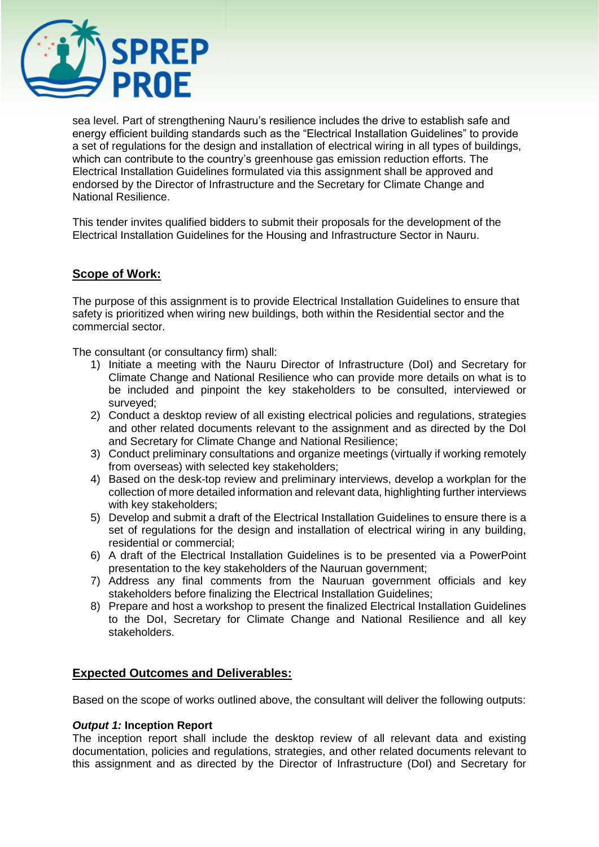

sea level. Part of strengthening Nauru's resilience includes the drive to establish safe and energy efficient building standards such as the "Electrical Installation Guidelines" to provide a set of regulations for the design and installation of electrical wiring in all types of buildings, which can contribute to the country's greenhouse gas emission reduction efforts. The Electrical Installation Guidelines formulated via this assignment shall be approved and endorsed by the Director of Infrastructure and the Secretary for Climate Change and National Resilience.

This tender invites qualified bidders to submit their proposals for the development of the Electrical Installation Guidelines for the Housing and Infrastructure Sector in Nauru.

# **Scope of Work:**

The purpose of this assignment is to provide Electrical Installation Guidelines to ensure that safety is prioritized when wiring new buildings, both within the Residential sector and the commercial sector.

The consultant (or consultancy firm) shall:

- 1) Initiate a meeting with the Nauru Director of Infrastructure (DoI) and Secretary for Climate Change and National Resilience who can provide more details on what is to be included and pinpoint the key stakeholders to be consulted, interviewed or surveyed;
- 2) Conduct a desktop review of all existing electrical policies and regulations, strategies and other related documents relevant to the assignment and as directed by the DoI and Secretary for Climate Change and National Resilience;
- 3) Conduct preliminary consultations and organize meetings (virtually if working remotely from overseas) with selected key stakeholders;
- 4) Based on the desk-top review and preliminary interviews, develop a workplan for the collection of more detailed information and relevant data, highlighting further interviews with key stakeholders;
- 5) Develop and submit a draft of the Electrical Installation Guidelines to ensure there is a set of regulations for the design and installation of electrical wiring in any building, residential or commercial;
- 6) A draft of the Electrical Installation Guidelines is to be presented via a PowerPoint presentation to the key stakeholders of the Nauruan government;
- 7) Address any final comments from the Nauruan government officials and key stakeholders before finalizing the Electrical Installation Guidelines;
- 8) Prepare and host a workshop to present the finalized Electrical Installation Guidelines to the DoI, Secretary for Climate Change and National Resilience and all key stakeholders.

# **Expected Outcomes and Deliverables:**

Based on the scope of works outlined above, the consultant will deliver the following outputs:

#### *Output 1:* **Inception Report**

The inception report shall include the desktop review of all relevant data and existing documentation, policies and regulations, strategies, and other related documents relevant to this assignment and as directed by the Director of Infrastructure (DoI) and Secretary for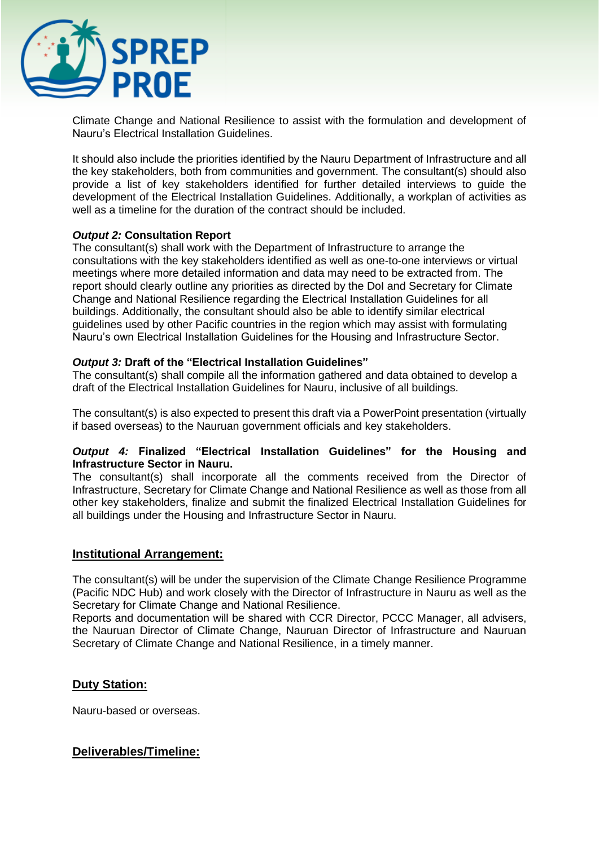

Climate Change and National Resilience to assist with the formulation and development of Nauru's Electrical Installation Guidelines.

It should also include the priorities identified by the Nauru Department of Infrastructure and all the key stakeholders, both from communities and government. The consultant(s) should also provide a list of key stakeholders identified for further detailed interviews to guide the development of the Electrical Installation Guidelines. Additionally, a workplan of activities as well as a timeline for the duration of the contract should be included.

# *Output 2:* **Consultation Report**

The consultant(s) shall work with the Department of Infrastructure to arrange the consultations with the key stakeholders identified as well as one-to-one interviews or virtual meetings where more detailed information and data may need to be extracted from. The report should clearly outline any priorities as directed by the DoI and Secretary for Climate Change and National Resilience regarding the Electrical Installation Guidelines for all buildings. Additionally, the consultant should also be able to identify similar electrical guidelines used by other Pacific countries in the region which may assist with formulating Nauru's own Electrical Installation Guidelines for the Housing and Infrastructure Sector.

#### *Output 3:* **Draft of the "Electrical Installation Guidelines"**

The consultant(s) shall compile all the information gathered and data obtained to develop a draft of the Electrical Installation Guidelines for Nauru, inclusive of all buildings.

The consultant(s) is also expected to present this draft via a PowerPoint presentation (virtually if based overseas) to the Nauruan government officials and key stakeholders.

#### *Output 4:* **Finalized "Electrical Installation Guidelines" for the Housing and Infrastructure Sector in Nauru.**

The consultant(s) shall incorporate all the comments received from the Director of Infrastructure, Secretary for Climate Change and National Resilience as well as those from all other key stakeholders, finalize and submit the finalized Electrical Installation Guidelines for all buildings under the Housing and Infrastructure Sector in Nauru.

# **Institutional Arrangement:**

The consultant(s) will be under the supervision of the Climate Change Resilience Programme (Pacific NDC Hub) and work closely with the Director of Infrastructure in Nauru as well as the Secretary for Climate Change and National Resilience.

Reports and documentation will be shared with CCR Director, PCCC Manager, all advisers, the Nauruan Director of Climate Change, Nauruan Director of Infrastructure and Nauruan Secretary of Climate Change and National Resilience, in a timely manner.

# **Duty Station:**

Nauru-based or overseas.

# **Deliverables/Timeline:**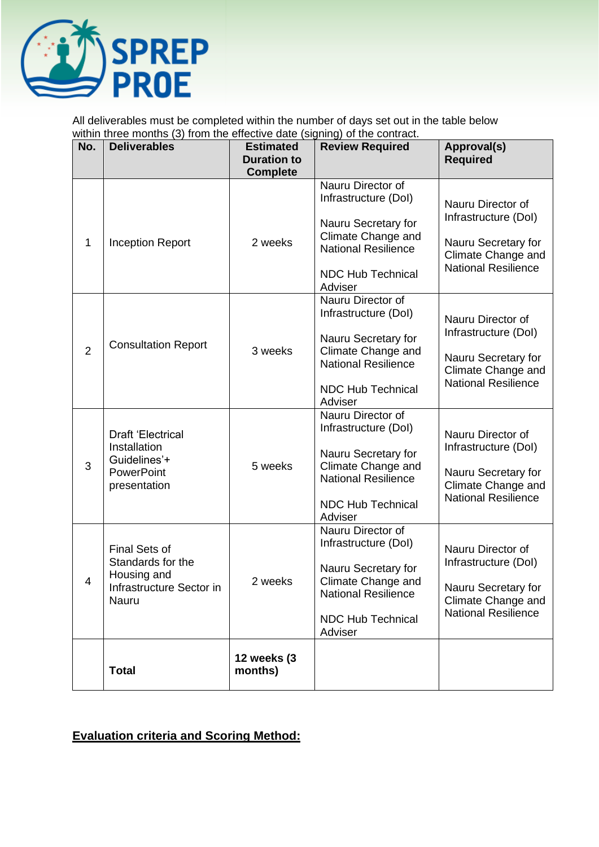

All deliverables must be completed within the number of days set out in the table below within three months (3) from the effective date (signing) of the contract.

| No.            | <b>Deliverables</b>                                                                           | <b>Estimated</b><br><b>Duration to</b><br><b>Complete</b> | $5.51$ $\ldots$ $57$ $\ldots$ $50$ $\ldots$<br><b>Review Required</b>                                                                                       | Approval(s)<br><b>Required</b>                                                                                              |  |
|----------------|-----------------------------------------------------------------------------------------------|-----------------------------------------------------------|-------------------------------------------------------------------------------------------------------------------------------------------------------------|-----------------------------------------------------------------------------------------------------------------------------|--|
| $\mathbf 1$    | <b>Inception Report</b>                                                                       | 2 weeks                                                   | Nauru Director of<br>Infrastructure (Dol)<br>Nauru Secretary for<br>Climate Change and<br><b>National Resilience</b><br>NDC Hub Technical<br>Adviser        | Nauru Director of<br>Infrastructure (Dol)<br>Nauru Secretary for<br>Climate Change and<br><b>National Resilience</b>        |  |
| $\overline{2}$ | <b>Consultation Report</b>                                                                    | 3 weeks                                                   | Nauru Director of<br>Infrastructure (Dol)<br>Nauru Secretary for<br>Climate Change and<br><b>National Resilience</b><br><b>NDC Hub Technical</b><br>Adviser | Nauru Director of<br>Infrastructure (Dol)<br>Nauru Secretary for<br>Climate Change and<br><b>National Resilience</b>        |  |
| 3              | <b>Draft 'Electrical</b><br>Installation<br>Guidelines'+<br><b>PowerPoint</b><br>presentation | 5 weeks                                                   | Nauru Director of<br>Infrastructure (Dol)<br>Nauru Secretary for<br>Climate Change and<br><b>National Resilience</b><br><b>NDC Hub Technical</b><br>Adviser | Nauru Director of<br>Infrastructure (Dol)<br>Nauru Secretary for<br><b>Climate Change and</b><br><b>National Resilience</b> |  |
| 4              | Final Sets of<br>Standards for the<br>Housing and<br>Infrastructure Sector in<br>Nauru        | 2 weeks                                                   | Nauru Director of<br>Infrastructure (Dol)<br>Nauru Secretary for<br>Climate Change and<br><b>National Resilience</b><br><b>NDC Hub Technical</b><br>Adviser | Nauru Director of<br>Infrastructure (Dol)<br>Nauru Secretary for<br>Climate Change and<br><b>National Resilience</b>        |  |
|                | <b>Total</b>                                                                                  | <b>12 weeks (3</b><br>months)                             |                                                                                                                                                             |                                                                                                                             |  |

# **Evaluation criteria and Scoring Method:**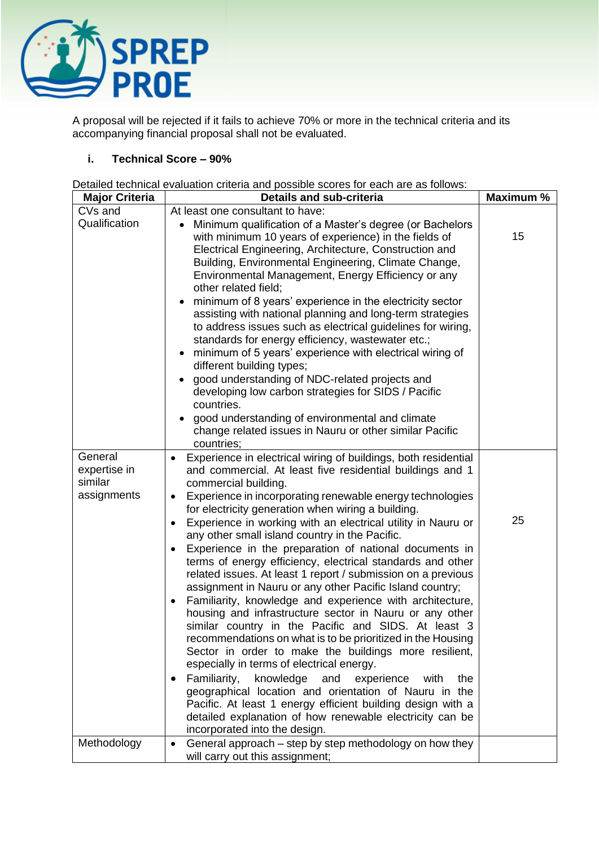

A proposal will be rejected if it fails to achieve 70% or more in the technical criteria and its accompanying financial proposal shall not be evaluated.

# **i. Technical Score – 90%**

Detailed technical evaluation criteria and possible scores for each are as follows:

| <b>Major Criteria</b>                             | <b>Details and sub-criteria</b>                                                                                                                                                                                                                                                                                                                                                                                                                                                                                                                                                                                                                                                                                                                                                                                                                                                                                                                                                                                                                                                                                                                                                                                                           | Maximum % |
|---------------------------------------------------|-------------------------------------------------------------------------------------------------------------------------------------------------------------------------------------------------------------------------------------------------------------------------------------------------------------------------------------------------------------------------------------------------------------------------------------------------------------------------------------------------------------------------------------------------------------------------------------------------------------------------------------------------------------------------------------------------------------------------------------------------------------------------------------------------------------------------------------------------------------------------------------------------------------------------------------------------------------------------------------------------------------------------------------------------------------------------------------------------------------------------------------------------------------------------------------------------------------------------------------------|-----------|
| CVs and                                           | At least one consultant to have:                                                                                                                                                                                                                                                                                                                                                                                                                                                                                                                                                                                                                                                                                                                                                                                                                                                                                                                                                                                                                                                                                                                                                                                                          |           |
| Qualification                                     | Minimum qualification of a Master's degree (or Bachelors<br>with minimum 10 years of experience) in the fields of<br>Electrical Engineering, Architecture, Construction and<br>Building, Environmental Engineering, Climate Change,<br>Environmental Management, Energy Efficiency or any<br>other related field;<br>minimum of 8 years' experience in the electricity sector<br>$\bullet$<br>assisting with national planning and long-term strategies<br>to address issues such as electrical guidelines for wiring,<br>standards for energy efficiency, wastewater etc.;<br>minimum of 5 years' experience with electrical wiring of<br>different building types;<br>good understanding of NDC-related projects and<br>developing low carbon strategies for SIDS / Pacific<br>countries.<br>good understanding of environmental and climate<br>change related issues in Nauru or other similar Pacific<br>countries;                                                                                                                                                                                                                                                                                                                   | 15        |
| General<br>expertise in<br>similar<br>assignments | Experience in electrical wiring of buildings, both residential<br>and commercial. At least five residential buildings and 1<br>commercial building.<br>Experience in incorporating renewable energy technologies<br>٠<br>for electricity generation when wiring a building.<br>Experience in working with an electrical utility in Nauru or<br>$\bullet$<br>any other small island country in the Pacific.<br>Experience in the preparation of national documents in<br>$\bullet$<br>terms of energy efficiency, electrical standards and other<br>related issues. At least 1 report / submission on a previous<br>assignment in Nauru or any other Pacific Island country;<br>Familiarity, knowledge and experience with architecture,<br>$\bullet$<br>housing and infrastructure sector in Nauru or any other<br>similar country in the Pacific and SIDS. At least 3<br>recommendations on what is to be prioritized in the Housing<br>Sector in order to make the buildings more resilient,<br>especially in terms of electrical energy.<br>Familiarity,<br>knowledge<br>and<br>experience<br>with<br>the<br>٠<br>geographical location and orientation of Nauru in the<br>Pacific. At least 1 energy efficient building design with a | 25        |
| Methodology                                       | detailed explanation of how renewable electricity can be<br>incorporated into the design.<br>General approach – step by step methodology on how they<br>$\bullet$<br>will carry out this assignment;                                                                                                                                                                                                                                                                                                                                                                                                                                                                                                                                                                                                                                                                                                                                                                                                                                                                                                                                                                                                                                      |           |